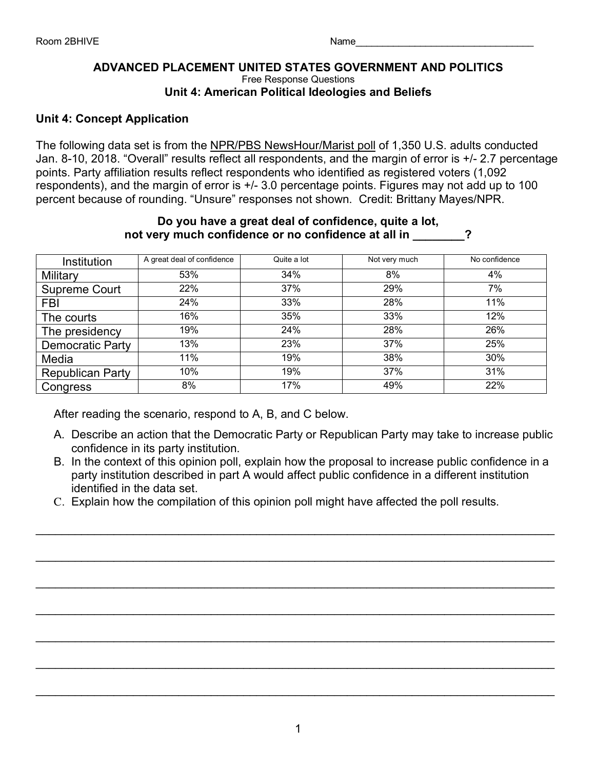#### **ADVANCED PLACEMENT UNITED STATES GOVERNMENT AND POLITICS** Free Response Questions **Unit 4: American Political Ideologies and Beliefs**

## **Unit 4: Concept Application**

The following data set is from the NPR/PBS NewsHour/Marist poll of 1,350 U.S. adults conducted Jan. 8-10, 2018. "Overall" results reflect all respondents, and the margin of error is +/- 2.7 percentage points. Party affiliation results reflect respondents who identified as registered voters (1,092 respondents), and the margin of error is +/- 3.0 percentage points. Figures may not add up to 100 percent because of rounding. "Unsure" responses not shown. Credit: Brittany Mayes/NPR.

|                         | not very much confidence or no confidence at all in |             | Do you have a great acar or connuence, quite a lot, |               |
|-------------------------|-----------------------------------------------------|-------------|-----------------------------------------------------|---------------|
| Institution             | A great deal of confidence                          | Quite a lot | Not very much                                       | No confidence |
| Military                | 53%                                                 | 34%         | 8%                                                  | $4\%$         |
| Supreme Court           | 22%                                                 | 37%         | 29%                                                 | 7%            |
| <b>FBI</b>              | 24%                                                 | 33%         | 28%                                                 | 11%           |
| The courts              | 16%                                                 | 35%         | 33%                                                 | 12%           |
| The presidency          | 19%                                                 | 24%         | 28%                                                 | 26%           |
| Democratic Party        | 13%                                                 | 23%         | 37%                                                 | 25%           |
| Media                   | 11%                                                 | 19%         | 38%                                                 | 30%           |
| <b>Republican Party</b> | 10%                                                 | 19%         | 37%                                                 | 31%           |
| Congress                | 8%                                                  | 17%         | 49%                                                 | 22%           |

# **Do you have a great deal of confidence, quite a lot,**

After reading the scenario, respond to A, B, and C below.

- A. Describe an action that the Democratic Party or Republican Party may take to increase public confidence in its party institution.
- B. In the context of this opinion poll, explain how the proposal to increase public confidence in a party institution described in part A would affect public confidence in a different institution identified in the data set.

\_\_\_\_\_\_\_\_\_\_\_\_\_\_\_\_\_\_\_\_\_\_\_\_\_\_\_\_\_\_\_\_\_\_\_\_\_\_\_\_\_\_\_\_\_\_\_\_\_\_\_\_\_\_\_\_\_\_\_\_\_\_\_\_\_\_\_\_\_\_\_\_\_\_\_\_\_\_\_\_

 $\mathcal{L}_\text{max} = \frac{1}{2} \sum_{i=1}^{n} \frac{1}{2} \sum_{i=1}^{n} \frac{1}{2} \sum_{i=1}^{n} \frac{1}{2} \sum_{i=1}^{n} \frac{1}{2} \sum_{i=1}^{n} \frac{1}{2} \sum_{i=1}^{n} \frac{1}{2} \sum_{i=1}^{n} \frac{1}{2} \sum_{i=1}^{n} \frac{1}{2} \sum_{i=1}^{n} \frac{1}{2} \sum_{i=1}^{n} \frac{1}{2} \sum_{i=1}^{n} \frac{1}{2} \sum_{i=1}^{n} \frac{1$ 

\_\_\_\_\_\_\_\_\_\_\_\_\_\_\_\_\_\_\_\_\_\_\_\_\_\_\_\_\_\_\_\_\_\_\_\_\_\_\_\_\_\_\_\_\_\_\_\_\_\_\_\_\_\_\_\_\_\_\_\_\_\_\_\_\_\_\_\_\_\_\_\_\_\_\_\_\_\_\_\_

 $\mathcal{L}_\text{max} = \frac{1}{2} \sum_{i=1}^{n} \frac{1}{2} \sum_{i=1}^{n} \frac{1}{2} \sum_{i=1}^{n} \frac{1}{2} \sum_{i=1}^{n} \frac{1}{2} \sum_{i=1}^{n} \frac{1}{2} \sum_{i=1}^{n} \frac{1}{2} \sum_{i=1}^{n} \frac{1}{2} \sum_{i=1}^{n} \frac{1}{2} \sum_{i=1}^{n} \frac{1}{2} \sum_{i=1}^{n} \frac{1}{2} \sum_{i=1}^{n} \frac{1}{2} \sum_{i=1}^{n} \frac{1$ 

\_\_\_\_\_\_\_\_\_\_\_\_\_\_\_\_\_\_\_\_\_\_\_\_\_\_\_\_\_\_\_\_\_\_\_\_\_\_\_\_\_\_\_\_\_\_\_\_\_\_\_\_\_\_\_\_\_\_\_\_\_\_\_\_\_\_\_\_\_\_\_\_\_\_\_\_\_\_\_\_

 $\mathcal{L}_\text{max} = \frac{1}{2} \sum_{i=1}^{n} \frac{1}{2} \sum_{i=1}^{n} \frac{1}{2} \sum_{i=1}^{n} \frac{1}{2} \sum_{i=1}^{n} \frac{1}{2} \sum_{i=1}^{n} \frac{1}{2} \sum_{i=1}^{n} \frac{1}{2} \sum_{i=1}^{n} \frac{1}{2} \sum_{i=1}^{n} \frac{1}{2} \sum_{i=1}^{n} \frac{1}{2} \sum_{i=1}^{n} \frac{1}{2} \sum_{i=1}^{n} \frac{1}{2} \sum_{i=1}^{n} \frac{1$ 

\_\_\_\_\_\_\_\_\_\_\_\_\_\_\_\_\_\_\_\_\_\_\_\_\_\_\_\_\_\_\_\_\_\_\_\_\_\_\_\_\_\_\_\_\_\_\_\_\_\_\_\_\_\_\_\_\_\_\_\_\_\_\_\_\_\_\_\_\_\_\_\_\_\_\_\_\_\_\_\_

C. Explain how the compilation of this opinion poll might have affected the poll results.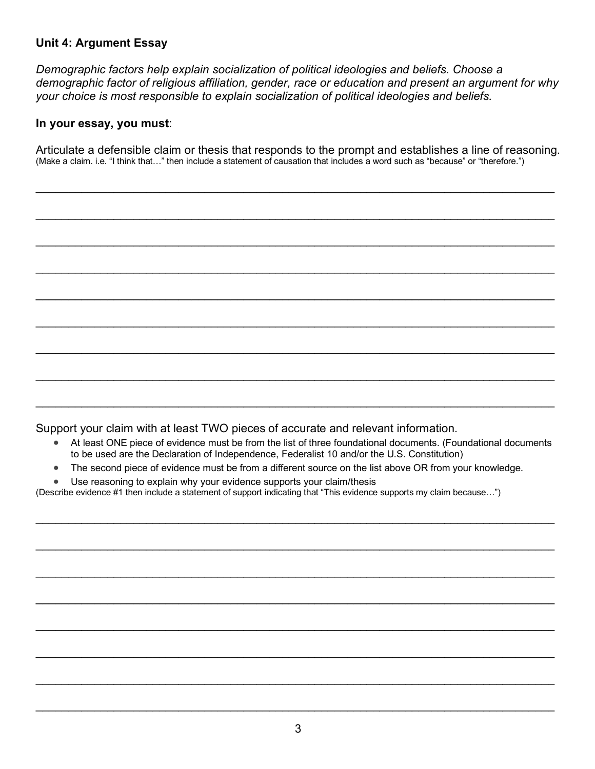## **Unit 4: Argument Essay**

*Demographic factors help explain socialization of political ideologies and beliefs. Choose a demographic factor of religious affiliation, gender, race or education and present an argument for why your choice is most responsible to explain socialization of political ideologies and beliefs.*

### **In your essay, you must**:

Articulate a defensible claim or thesis that responds to the prompt and establishes a line of reasoning. (Make a claim. i.e. "I think that…" then include a statement of causation that includes a word such as "because" or "therefore.")

\_\_\_\_\_\_\_\_\_\_\_\_\_\_\_\_\_\_\_\_\_\_\_\_\_\_\_\_\_\_\_\_\_\_\_\_\_\_\_\_\_\_\_\_\_\_\_\_\_\_\_\_\_\_\_\_\_\_\_\_\_\_\_\_\_\_\_\_\_\_\_\_\_\_\_\_\_\_\_\_

 $\mathcal{L}_\text{max} = \frac{1}{2} \sum_{i=1}^{n} \frac{1}{2} \sum_{i=1}^{n} \frac{1}{2} \sum_{i=1}^{n} \frac{1}{2} \sum_{i=1}^{n} \frac{1}{2} \sum_{i=1}^{n} \frac{1}{2} \sum_{i=1}^{n} \frac{1}{2} \sum_{i=1}^{n} \frac{1}{2} \sum_{i=1}^{n} \frac{1}{2} \sum_{i=1}^{n} \frac{1}{2} \sum_{i=1}^{n} \frac{1}{2} \sum_{i=1}^{n} \frac{1}{2} \sum_{i=1}^{n} \frac{1$ 

\_\_\_\_\_\_\_\_\_\_\_\_\_\_\_\_\_\_\_\_\_\_\_\_\_\_\_\_\_\_\_\_\_\_\_\_\_\_\_\_\_\_\_\_\_\_\_\_\_\_\_\_\_\_\_\_\_\_\_\_\_\_\_\_\_\_\_\_\_\_\_\_\_\_\_\_\_\_\_\_

\_\_\_\_\_\_\_\_\_\_\_\_\_\_\_\_\_\_\_\_\_\_\_\_\_\_\_\_\_\_\_\_\_\_\_\_\_\_\_\_\_\_\_\_\_\_\_\_\_\_\_\_\_\_\_\_\_\_\_\_\_\_\_\_\_\_\_\_\_\_\_\_\_\_\_\_\_\_\_\_

\_\_\_\_\_\_\_\_\_\_\_\_\_\_\_\_\_\_\_\_\_\_\_\_\_\_\_\_\_\_\_\_\_\_\_\_\_\_\_\_\_\_\_\_\_\_\_\_\_\_\_\_\_\_\_\_\_\_\_\_\_\_\_\_\_\_\_\_\_\_\_\_\_\_\_\_\_\_\_\_

 $\mathcal{L}_\text{max} = \frac{1}{2} \sum_{i=1}^{n} \frac{1}{2} \sum_{i=1}^{n} \frac{1}{2} \sum_{i=1}^{n} \frac{1}{2} \sum_{i=1}^{n} \frac{1}{2} \sum_{i=1}^{n} \frac{1}{2} \sum_{i=1}^{n} \frac{1}{2} \sum_{i=1}^{n} \frac{1}{2} \sum_{i=1}^{n} \frac{1}{2} \sum_{i=1}^{n} \frac{1}{2} \sum_{i=1}^{n} \frac{1}{2} \sum_{i=1}^{n} \frac{1}{2} \sum_{i=1}^{n} \frac{1$ 

\_\_\_\_\_\_\_\_\_\_\_\_\_\_\_\_\_\_\_\_\_\_\_\_\_\_\_\_\_\_\_\_\_\_\_\_\_\_\_\_\_\_\_\_\_\_\_\_\_\_\_\_\_\_\_\_\_\_\_\_\_\_\_\_\_\_\_\_\_\_\_\_\_\_\_\_\_\_\_\_

\_\_\_\_\_\_\_\_\_\_\_\_\_\_\_\_\_\_\_\_\_\_\_\_\_\_\_\_\_\_\_\_\_\_\_\_\_\_\_\_\_\_\_\_\_\_\_\_\_\_\_\_\_\_\_\_\_\_\_\_\_\_\_\_\_\_\_\_\_\_\_\_\_\_\_\_\_\_\_\_

 $\mathcal{L}_\text{max} = \frac{1}{2} \sum_{i=1}^{n} \frac{1}{2} \sum_{i=1}^{n} \frac{1}{2} \sum_{i=1}^{n} \frac{1}{2} \sum_{i=1}^{n} \frac{1}{2} \sum_{i=1}^{n} \frac{1}{2} \sum_{i=1}^{n} \frac{1}{2} \sum_{i=1}^{n} \frac{1}{2} \sum_{i=1}^{n} \frac{1}{2} \sum_{i=1}^{n} \frac{1}{2} \sum_{i=1}^{n} \frac{1}{2} \sum_{i=1}^{n} \frac{1}{2} \sum_{i=1}^{n} \frac{1$ 

Support your claim with at least TWO pieces of accurate and relevant information.

- At least ONE piece of evidence must be from the list of three foundational documents. (Foundational documents to be used are the Declaration of Independence, Federalist 10 and/or the U.S. Constitution)
- The second piece of evidence must be from a different source on the list above OR from your knowledge.

\_\_\_\_\_\_\_\_\_\_\_\_\_\_\_\_\_\_\_\_\_\_\_\_\_\_\_\_\_\_\_\_\_\_\_\_\_\_\_\_\_\_\_\_\_\_\_\_\_\_\_\_\_\_\_\_\_\_\_\_\_\_\_\_\_\_\_\_\_\_\_\_\_\_\_\_\_\_\_\_

 $\mathcal{L}_\text{max} = \frac{1}{2} \sum_{i=1}^{n} \frac{1}{2} \sum_{i=1}^{n} \frac{1}{2} \sum_{i=1}^{n} \frac{1}{2} \sum_{i=1}^{n} \frac{1}{2} \sum_{i=1}^{n} \frac{1}{2} \sum_{i=1}^{n} \frac{1}{2} \sum_{i=1}^{n} \frac{1}{2} \sum_{i=1}^{n} \frac{1}{2} \sum_{i=1}^{n} \frac{1}{2} \sum_{i=1}^{n} \frac{1}{2} \sum_{i=1}^{n} \frac{1}{2} \sum_{i=1}^{n} \frac{1$ 

\_\_\_\_\_\_\_\_\_\_\_\_\_\_\_\_\_\_\_\_\_\_\_\_\_\_\_\_\_\_\_\_\_\_\_\_\_\_\_\_\_\_\_\_\_\_\_\_\_\_\_\_\_\_\_\_\_\_\_\_\_\_\_\_\_\_\_\_\_\_\_\_\_\_\_\_\_\_\_\_

\_\_\_\_\_\_\_\_\_\_\_\_\_\_\_\_\_\_\_\_\_\_\_\_\_\_\_\_\_\_\_\_\_\_\_\_\_\_\_\_\_\_\_\_\_\_\_\_\_\_\_\_\_\_\_\_\_\_\_\_\_\_\_\_\_\_\_\_\_\_\_\_\_\_\_\_\_\_\_\_

\_\_\_\_\_\_\_\_\_\_\_\_\_\_\_\_\_\_\_\_\_\_\_\_\_\_\_\_\_\_\_\_\_\_\_\_\_\_\_\_\_\_\_\_\_\_\_\_\_\_\_\_\_\_\_\_\_\_\_\_\_\_\_\_\_\_\_\_\_\_\_\_\_\_\_\_\_\_\_\_

\_\_\_\_\_\_\_\_\_\_\_\_\_\_\_\_\_\_\_\_\_\_\_\_\_\_\_\_\_\_\_\_\_\_\_\_\_\_\_\_\_\_\_\_\_\_\_\_\_\_\_\_\_\_\_\_\_\_\_\_\_\_\_\_\_\_\_\_\_\_\_\_\_\_\_\_\_\_\_\_

 $\mathcal{L}_\text{max} = \frac{1}{2} \sum_{i=1}^{n} \frac{1}{2} \sum_{i=1}^{n} \frac{1}{2} \sum_{i=1}^{n} \frac{1}{2} \sum_{i=1}^{n} \frac{1}{2} \sum_{i=1}^{n} \frac{1}{2} \sum_{i=1}^{n} \frac{1}{2} \sum_{i=1}^{n} \frac{1}{2} \sum_{i=1}^{n} \frac{1}{2} \sum_{i=1}^{n} \frac{1}{2} \sum_{i=1}^{n} \frac{1}{2} \sum_{i=1}^{n} \frac{1}{2} \sum_{i=1}^{n} \frac{1$ 

\_\_\_\_\_\_\_\_\_\_\_\_\_\_\_\_\_\_\_\_\_\_\_\_\_\_\_\_\_\_\_\_\_\_\_\_\_\_\_\_\_\_\_\_\_\_\_\_\_\_\_\_\_\_\_\_\_\_\_\_\_\_\_\_\_\_\_\_\_\_\_\_\_\_\_\_\_\_\_\_

Use reasoning to explain why your evidence supports your claim/thesis

(Describe evidence #1 then include a statement of support indicating that "This evidence supports my claim because…")